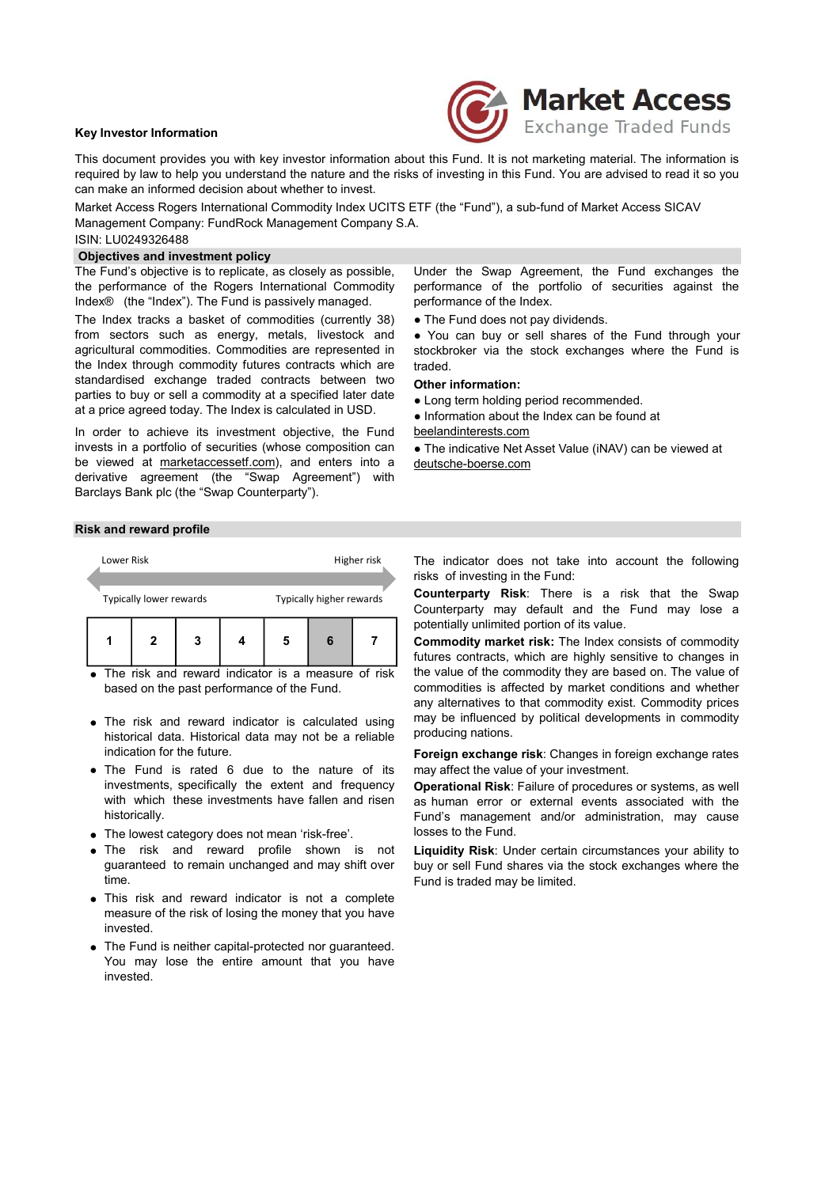# Key Investor Information



This document provides you with key investor information about this Fund. It is not marketing material. The information is required by law to help you understand the nature and the risks of investing in this Fund. You are advised to read it so you can make an informed decision about whether to invest.

Market Access Rogers International Commodity Index UCITS ETF (the "Fund"), a sub-fund of Market Access SICAV Management Company: FundRock Management Company S.A.

# ISIN: LU0249326488

# Objectives and investment policy

The Fund's objective is to replicate, as closely as possible, the performance of the Rogers International Commodity Index® (the "Index"). The Fund is passively managed.

The Index tracks a basket of commodities (currently 38) from sectors such as energy, metals, livestock and agricultural commodities. Commodities are represented in the Index through commodity futures contracts which are standardised exchange traded contracts between two parties to buy or sell a commodity at a specified later date at a price agreed today. The Index is calculated in USD.

In order to achieve its investment objective, the Fund beelandinterests.com invests in a portfolio of securities (whose composition can be viewed at marketaccessetf.com), and enters into a derivative agreement (the "Swap Agreement") with Barclays Bank plc (the "Swap Counterparty").

Under the Swap Agreement, the Fund exchanges the performance of the portfolio of securities against the performance of the Index.

• The Fund does not pay dividends.

● You can buy or sell shares of the Fund through your stockbroker via the stock exchanges where the Fund is traded.

#### Other information:

• Long term holding period recommended.

● Information about the Index can be found at

• The indicative Net Asset Value (iNAV) can be viewed at deutsche-boerse.com

# Risk and reward profile



● The risk and reward indicator is a measure of risk based on the past performance of the Fund.

- The risk and reward indicator is calculated using historical data. Historical data may not be a reliable indication for the future.
- The Fund is rated 6 due to the nature of its investments, specifically the extent and frequency with which these investments have fallen and risen historically.
- The lowest category does not mean 'risk-free'.
- The risk and reward profile shown is not guaranteed to remain unchanged and may shift over time.
- This risk and reward indicator is not a complete measure of the risk of losing the money that you have invested.
- The Fund is neither capital-protected nor guaranteed. You may lose the entire amount that you have invested.

The indicator does not take into account the following risks of investing in the Fund:

Counterparty Risk: There is a risk that the Swap Counterparty may default and the Fund may lose a potentially unlimited portion of its value.

Commodity market risk: The Index consists of commodity futures contracts, which are highly sensitive to changes in the value of the commodity they are based on. The value of commodities is affected by market conditions and whether any alternatives to that commodity exist. Commodity prices may be influenced by political developments in commodity producing nations.

Foreign exchange risk: Changes in foreign exchange rates may affect the value of your investment.

Operational Risk: Failure of procedures or systems, as well as human error or external events associated with the Fund's management and/or administration, may cause losses to the Fund.

Liquidity Risk: Under certain circumstances your ability to buy or sell Fund shares via the stock exchanges where the Fund is traded may be limited.